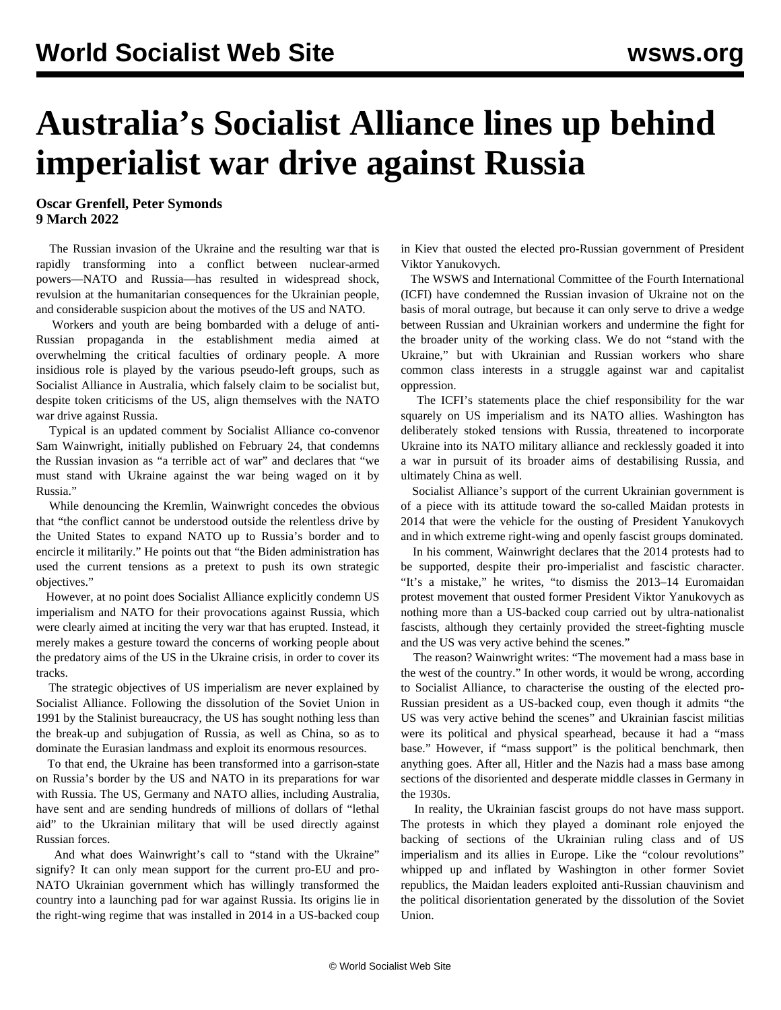## **Australia's Socialist Alliance lines up behind imperialist war drive against Russia**

**Oscar Grenfell, Peter Symonds 9 March 2022**

 The Russian invasion of the Ukraine and the resulting war that is rapidly transforming into a conflict between nuclear-armed powers—NATO and Russia—has resulted in widespread shock, revulsion at the humanitarian consequences for the Ukrainian people, and considerable suspicion about the motives of the US and NATO.

 Workers and youth are being bombarded with a deluge of anti-Russian propaganda in the establishment media aimed at overwhelming the critical faculties of ordinary people. A more insidious role is played by the various pseudo-left groups, such as Socialist Alliance in Australia, which falsely claim to be socialist but, despite token criticisms of the US, align themselves with the NATO war drive against Russia.

 Typical is an updated comment by Socialist Alliance co-convenor Sam Wainwright, initially published on February 24, that condemns the Russian invasion as "a terrible act of war" and declares that "we must stand with Ukraine against the war being waged on it by Russia."

 While denouncing the Kremlin, Wainwright concedes the obvious that "the conflict cannot be understood outside the relentless drive by the United States to expand NATO up to Russia's border and to encircle it militarily." He points out that "the Biden administration has used the current tensions as a pretext to push its own strategic objectives."

 However, at no point does Socialist Alliance explicitly condemn US imperialism and NATO for their provocations against Russia, which were clearly aimed at inciting the very war that has erupted. Instead, it merely makes a gesture toward the concerns of working people about the predatory aims of the US in the Ukraine crisis, in order to cover its tracks.

 The strategic objectives of US imperialism are never explained by Socialist Alliance. Following the dissolution of the Soviet Union in 1991 by the Stalinist bureaucracy, the US has sought nothing less than the break-up and subjugation of Russia, as well as China, so as to dominate the Eurasian landmass and exploit its enormous resources.

 To that end, the Ukraine has been transformed into a garrison-state on Russia's border by the US and NATO in its preparations for war with Russia. The US, Germany and NATO allies, including Australia, have sent and are sending hundreds of millions of dollars of "lethal aid" to the Ukrainian military that will be used directly against Russian forces.

 And what does Wainwright's call to "stand with the Ukraine" signify? It can only mean support for the current pro-EU and pro-NATO Ukrainian government which has willingly transformed the country into a launching pad for war against Russia. Its origins lie in the right-wing regime that was installed in 2014 in a US-backed coup in Kiev that ousted the elected pro-Russian government of President Viktor Yanukovych.

 The WSWS and International Committee of the Fourth International (ICFI) have condemned the Russian invasion of Ukraine not on the basis of moral outrage, but because it can only serve to drive a wedge between Russian and Ukrainian workers and undermine the fight for the broader unity of the working class. We do not "stand with the Ukraine," but with Ukrainian and Russian workers who share common class interests in a struggle against war and capitalist oppression.

 The ICFI's statements place the chief responsibility for the war squarely on US imperialism and its NATO allies. Washington has deliberately stoked tensions with Russia, threatened to incorporate Ukraine into its NATO military alliance and recklessly goaded it into a war in pursuit of its broader aims of destabilising Russia, and ultimately China as well.

 Socialist Alliance's support of the current Ukrainian government is of a piece with its attitude toward the so-called Maidan protests in 2014 that were the vehicle for the ousting of President Yanukovych and in which extreme right-wing and openly fascist groups dominated.

 In his comment, Wainwright declares that the 2014 protests had to be supported, despite their pro-imperialist and fascistic character. "It's a mistake," he writes, "to dismiss the 2013–14 Euromaidan protest movement that ousted former President Viktor Yanukovych as nothing more than a US-backed coup carried out by ultra-nationalist fascists, although they certainly provided the street-fighting muscle and the US was very active behind the scenes."

 The reason? Wainwright writes: "The movement had a mass base in the west of the country." In other words, it would be wrong, according to Socialist Alliance, to characterise the ousting of the elected pro-Russian president as a US-backed coup, even though it admits "the US was very active behind the scenes" and Ukrainian fascist militias were its political and physical spearhead, because it had a "mass base." However, if "mass support" is the political benchmark, then anything goes. After all, Hitler and the Nazis had a mass base among sections of the disoriented and desperate middle classes in Germany in the 1930s.

 In reality, the Ukrainian fascist groups do not have mass support. The protests in which they played a dominant role enjoyed the backing of sections of the Ukrainian ruling class and of US imperialism and its allies in Europe. Like the "colour revolutions" whipped up and inflated by Washington in other former Soviet republics, the Maidan leaders exploited anti-Russian chauvinism and the political disorientation generated by the dissolution of the Soviet Union.